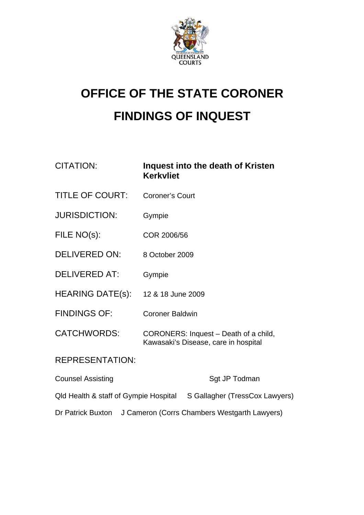

## **OFFICE OF THE STATE CORONER FINDINGS OF INQUEST**

| CITATION:                | Inquest into the death of Kristen<br><b>Kerkvliet</b>                         |
|--------------------------|-------------------------------------------------------------------------------|
| <b>TITLE OF COURT:</b>   | Coroner's Court                                                               |
| <b>JURISDICTION:</b>     | Gympie                                                                        |
| FILE NO(s):              | COR 2006/56                                                                   |
| <b>DELIVERED ON:</b>     | 8 October 2009                                                                |
| <b>DELIVERED AT:</b>     | Gympie                                                                        |
| HEARING DATE(s):         | 12 & 18 June 2009                                                             |
| <b>FINDINGS OF:</b>      | <b>Coroner Baldwin</b>                                                        |
| <b>CATCHWORDS:</b>       | CORONERS: Inquest – Death of a child,<br>Kawasaki's Disease, care in hospital |
| <b>REPRESENTATION:</b>   |                                                                               |
| <b>Counsel Assisting</b> | Sgt JP Todman                                                                 |

Qld Health & staff of Gympie Hospital S Gallagher (TressCox Lawyers)

Dr Patrick Buxton J Cameron (Corrs Chambers Westgarth Lawyers)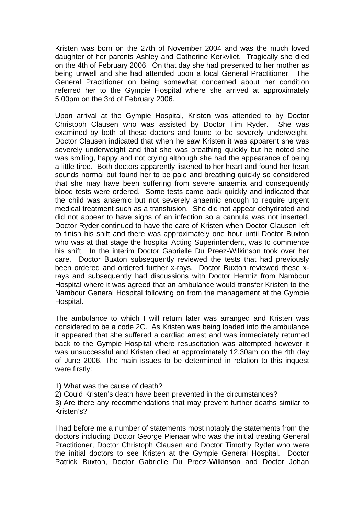Kristen was born on the 27th of November 2004 and was the much loved daughter of her parents Ashley and Catherine Kerkvliet. Tragically she died on the 4th of February 2006. On that day she had presented to her mother as being unwell and she had attended upon a local General Practitioner. The General Practitioner on being somewhat concerned about her condition referred her to the Gympie Hospital where she arrived at approximately 5.00pm on the 3rd of February 2006.

Upon arrival at the Gympie Hospital, Kristen was attended to by Doctor Christoph Clausen who was assisted by Doctor Tim Ryder. She was examined by both of these doctors and found to be severely underweight. Doctor Clausen indicated that when he saw Kristen it was apparent she was severely underweight and that she was breathing quickly but he noted she was smiling, happy and not crying although she had the appearance of being a little tired. Both doctors apparently listened to her heart and found her heart sounds normal but found her to be pale and breathing quickly so considered that she may have been suffering from severe anaemia and consequently blood tests were ordered. Some tests came back quickly and indicated that the child was anaemic but not severely anaemic enough to require urgent medical treatment such as a transfusion. She did not appear dehydrated and did not appear to have signs of an infection so a cannula was not inserted. Doctor Ryder continued to have the care of Kristen when Doctor Clausen left to finish his shift and there was approximately one hour until Doctor Buxton who was at that stage the hospital Acting Superintendent, was to commence his shift. In the interim Doctor Gabrielle Du Preez-Wilkinson took over her care. Doctor Buxton subsequently reviewed the tests that had previously been ordered and ordered further x-rays. Doctor Buxton reviewed these xrays and subsequently had discussions with Doctor Hermiz from Nambour Hospital where it was agreed that an ambulance would transfer Kristen to the Nambour General Hospital following on from the management at the Gympie Hospital.

The ambulance to which I will return later was arranged and Kristen was considered to be a code 2C. As Kristen was being loaded into the ambulance it appeared that she suffered a cardiac arrest and was immediately returned back to the Gympie Hospital where resuscitation was attempted however it was unsuccessful and Kristen died at approximately 12.30am on the 4th day of June 2006. The main issues to be determined in relation to this inquest were firstly:

- 1) What was the cause of death?
- 2) Could Kristen's death have been prevented in the circumstances?

3) Are there any recommendations that may prevent further deaths similar to Kristen's?

I had before me a number of statements most notably the statements from the doctors including Doctor George Pienaar who was the initial treating General Practitioner, Doctor Christoph Clausen and Doctor Timothy Ryder who were the initial doctors to see Kristen at the Gympie General Hospital. Doctor Patrick Buxton, Doctor Gabrielle Du Preez-Wilkinson and Doctor Johan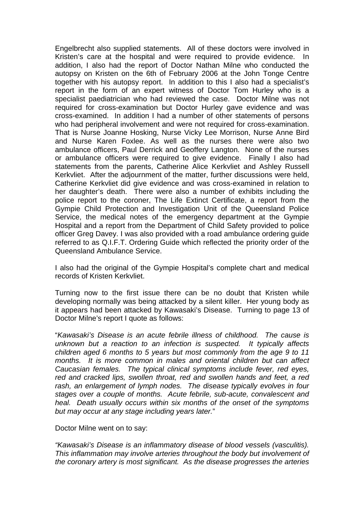Engelbrecht also supplied statements. All of these doctors were involved in Kristen's care at the hospital and were required to provide evidence. In addition, I also had the report of Doctor Nathan Milne who conducted the autopsy on Kristen on the 6th of February 2006 at the John Tonge Centre together with his autopsy report. In addition to this I also had a specialist's report in the form of an expert witness of Doctor Tom Hurley who is a specialist paediatrician who had reviewed the case. Doctor Milne was not required for cross-examination but Doctor Hurley gave evidence and was cross-examined. In addition I had a number of other statements of persons who had peripheral involvement and were not required for cross-examination. That is Nurse Joanne Hosking, Nurse Vicky Lee Morrison, Nurse Anne Bird and Nurse Karen Foxlee. As well as the nurses there were also two ambulance officers, Paul Derrick and Geoffery Langton. None of the nurses or ambulance officers were required to give evidence. Finally I also had statements from the parents, Catherine Alice Kerkvliet and Ashley Russell Kerkvliet. After the adjournment of the matter, further discussions were held, Catherine Kerkvliet did give evidence and was cross-examined in relation to her daughter's death. There were also a number of exhibits including the police report to the coroner, The Life Extinct Certificate, a report from the Gympie Child Protection and Investigation Unit of the Queensland Police Service, the medical notes of the emergency department at the Gympie Hospital and a report from the Department of Child Safety provided to police officer Greg Davey. I was also provided with a road ambulance ordering guide referred to as Q.I.F.T. Ordering Guide which reflected the priority order of the Queensland Ambulance Service.

I also had the original of the Gympie Hospital's complete chart and medical records of Kristen Kerkvliet.

Turning now to the first issue there can be no doubt that Kristen while developing normally was being attacked by a silent killer. Her young body as it appears had been attacked by Kawasaki's Disease. Turning to page 13 of Doctor Milne's report I quote as follows:

"*Kawasaki's Disease is an acute febrile illness of childhood. The cause is unknown but a reaction to an infection is suspected. It typically affects children aged 6 months to 5 years but most commonly from the age 9 to 11 months. It is more common in males and oriental children but can affect Caucasian females. The typical clinical symptoms include fever, red eyes, red and cracked lips, swollen throat, red and swollen hands and feet, a red rash, an enlargement of lymph nodes. The disease typically evolves in four stages over a couple of months. Acute febrile, sub-acute, convalescent and heal. Death usually occurs within six months of the onset of the symptoms but may occur at any stage including years later.*"

Doctor Milne went on to say:

*"Kawasaki's Disease is an inflammatory disease of blood vessels (vasculitis). This inflammation may involve arteries throughout the body but involvement of the coronary artery is most significant. As the disease progresses the arteries*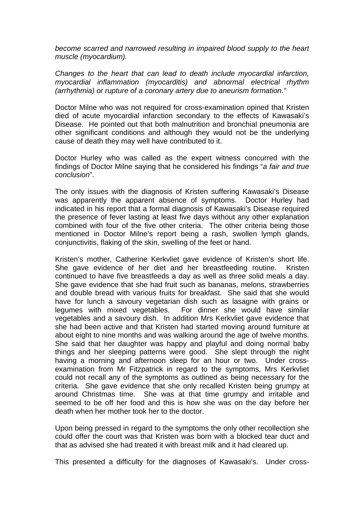*become scarred and narrowed resulting in impaired blood supply to the heart muscle (myocardium).* 

*Changes to the heart that can lead to death include myocardial infarction, myocardial inflammation (myocarditis) and abnormal electrical rhythm (arrhythmia) or rupture of a coronary artery due to aneurism formation."* 

Doctor Milne who was not required for cross-examination opined that Kristen died of acute myocardial infarction secondary to the effects of Kawasaki's Disease. He pointed out that both malnutrition and bronchial pneumonia are other significant conditions and although they would not be the underlying cause of death they may well have contributed to it.

Doctor Hurley who was called as the expert witness concurred with the findings of Doctor Milne saying that he considered his findings "*a fair and true conclusion*".

The only issues with the diagnosis of Kristen suffering Kawasaki's Disease was apparently the apparent absence of symptoms. Doctor Hurley had indicated in his report that a formal diagnosis of Kawasaki's Disease required the presence of fever lasting at least five days without any other explanation combined with four of the five other criteria. The other criteria being those mentioned in Doctor Milne's report being a rash, swollen lymph glands, conjunctivitis, flaking of the skin, swelling of the feet or hand.

Kristen's mother, Catherine Kerkvliet gave evidence of Kristen's short life. She gave evidence of her diet and her breastfeeding routine. Kristen continued to have five breastfeeds a day as well as three solid meals a day. She gave evidence that she had fruit such as bananas, melons, strawberries and double bread with various fruits for breakfast. She said that she would have for lunch a savoury vegetarian dish such as lasagne with grains or legumes with mixed vegetables. For dinner she would have similar vegetables and a savoury dish. In addition Mrs Kerkvliet gave evidence that she had been active and that Kristen had started moving around furniture at about eight to nine months and was walking around the age of twelve months. She said that her daughter was happy and playful and doing normal baby things and her sleeping patterns were good. She slept through the night having a morning and afternoon sleep for an hour or two. Under crossexamination from Mr Fitzpatrick in regard to the symptoms, Mrs Kerkvliet could not recall any of the symptoms as outlined as being necessary for the criteria. She gave evidence that she only recalled Kristen being grumpy at around Christmas time. She was at that time grumpy and irritable and seemed to be off her food and this is how she was on the day before her death when her mother took her to the doctor.

Upon being pressed in regard to the symptoms the only other recollection she could offer the court was that Kristen was born with a blocked tear duct and that as advised she had treated it with breast milk and it had cleared up.

This presented a difficulty for the diagnoses of Kawasaki's. Under cross-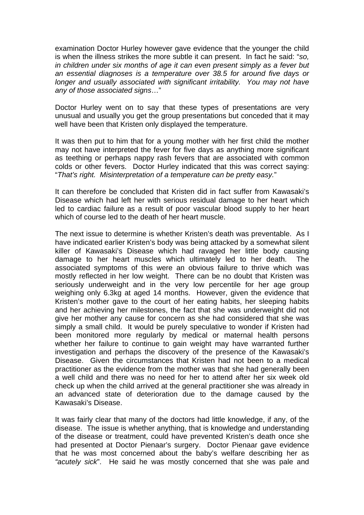examination Doctor Hurley however gave evidence that the younger the child is when the illness strikes the more subtle it can present. In fact he said: "*so, in children under six months of age it can even present simply as a fever but an essential diagnoses is a temperature over 38.5 for around five days or longer and usually associated with significant irritability. You may not have any of those associated signs*…"

Doctor Hurley went on to say that these types of presentations are very unusual and usually you get the group presentations but conceded that it may well have been that Kristen only displayed the temperature.

It was then put to him that for a young mother with her first child the mother may not have interpreted the fever for five days as anything more significant as teething or perhaps nappy rash fevers that are associated with common colds or other fevers. Doctor Hurley indicated that this was correct saying: "*That's right. Misinterpretation of a temperature can be pretty easy.*"

It can therefore be concluded that Kristen did in fact suffer from Kawasaki's Disease which had left her with serious residual damage to her heart which led to cardiac failure as a result of poor vascular blood supply to her heart which of course led to the death of her heart muscle.

The next issue to determine is whether Kristen's death was preventable. As I have indicated earlier Kristen's body was being attacked by a somewhat silent killer of Kawasaki's Disease which had ravaged her little body causing damage to her heart muscles which ultimately led to her death. The associated symptoms of this were an obvious failure to thrive which was mostly reflected in her low weight. There can be no doubt that Kristen was seriously underweight and in the very low percentile for her age group weighing only 6.3kg at aged 14 months. However, given the evidence that Kristen's mother gave to the court of her eating habits, her sleeping habits and her achieving her milestones, the fact that she was underweight did not give her mother any cause for concern as she had considered that she was simply a small child. It would be purely speculative to wonder if Kristen had been monitored more regularly by medical or maternal health persons whether her failure to continue to gain weight may have warranted further investigation and perhaps the discovery of the presence of the Kawasaki's Disease. Given the circumstances that Kristen had not been to a medical practitioner as the evidence from the mother was that she had generally been a well child and there was no need for her to attend after her six week old check up when the child arrived at the general practitioner she was already in an advanced state of deterioration due to the damage caused by the Kawasaki's Disease.

It was fairly clear that many of the doctors had little knowledge, if any, of the disease. The issue is whether anything, that is knowledge and understanding of the disease or treatment, could have prevented Kristen's death once she had presented at Doctor Pienaar's surgery. Doctor Pienaar gave evidence that he was most concerned about the baby's welfare describing her as *"acutely sick*". He said he was mostly concerned that she was pale and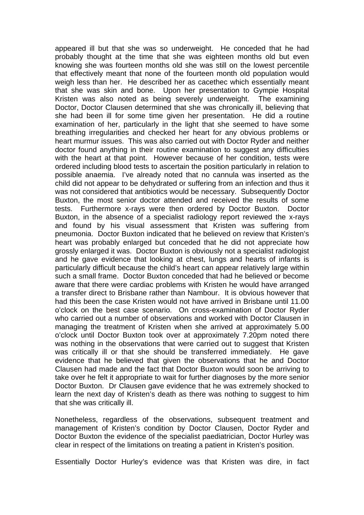appeared ill but that she was so underweight. He conceded that he had probably thought at the time that she was eighteen months old but even knowing she was fourteen months old she was still on the lowest percentile that effectively meant that none of the fourteen month old population would weigh less than her. He described her as cacethec which essentially meant that she was skin and bone. Upon her presentation to Gympie Hospital Kristen was also noted as being severely underweight. The examining Doctor, Doctor Clausen determined that she was chronically ill, believing that she had been ill for some time given her presentation. He did a routine examination of her, particularly in the light that she seemed to have some breathing irregularities and checked her heart for any obvious problems or heart murmur issues. This was also carried out with Doctor Ryder and neither doctor found anything in their routine examination to suggest any difficulties with the heart at that point. However because of her condition, tests were ordered including blood tests to ascertain the position particularly in relation to possible anaemia. I've already noted that no cannula was inserted as the child did not appear to be dehydrated or suffering from an infection and thus it was not considered that antibiotics would be necessary. Subsequently Doctor Buxton, the most senior doctor attended and received the results of some tests. Furthermore x-rays were then ordered by Doctor Buxton. Doctor Buxton, in the absence of a specialist radiology report reviewed the x-rays and found by his visual assessment that Kristen was suffering from pneumonia. Doctor Buxton indicated that he believed on review that Kristen's heart was probably enlarged but conceded that he did not appreciate how grossly enlarged it was. Doctor Buxton is obviously not a specialist radiologist and he gave evidence that looking at chest, lungs and hearts of infants is particularly difficult because the child's heart can appear relatively large within such a small frame. Doctor Buxton conceded that had he believed or become aware that there were cardiac problems with Kristen he would have arranged a transfer direct to Brisbane rather than Nambour. It is obvious however that had this been the case Kristen would not have arrived in Brisbane until 11.00 o'clock on the best case scenario. On cross-examination of Doctor Ryder who carried out a number of observations and worked with Doctor Clausen in managing the treatment of Kristen when she arrived at approximately 5.00 o'clock until Doctor Buxton took over at approximately 7.20pm noted there was nothing in the observations that were carried out to suggest that Kristen was critically ill or that she should be transferred immediately. He gave evidence that he believed that given the observations that he and Doctor Clausen had made and the fact that Doctor Buxton would soon be arriving to take over he felt it appropriate to wait for further diagnoses by the more senior Doctor Buxton. Dr Clausen gave evidence that he was extremely shocked to learn the next day of Kristen's death as there was nothing to suggest to him that she was critically ill.

Nonetheless, regardless of the observations, subsequent treatment and management of Kristen's condition by Doctor Clausen, Doctor Ryder and Doctor Buxton the evidence of the specialist paediatrician, Doctor Hurley was clear in respect of the limitations on treating a patient in Kristen's position.

Essentially Doctor Hurley's evidence was that Kristen was dire, in fact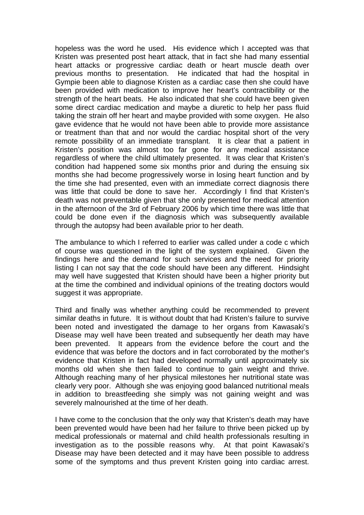hopeless was the word he used. His evidence which I accepted was that Kristen was presented post heart attack, that in fact she had many essential heart attacks or progressive cardiac death or heart muscle death over previous months to presentation. He indicated that had the hospital in Gympie been able to diagnose Kristen as a cardiac case then she could have been provided with medication to improve her heart's contractibility or the strength of the heart beats. He also indicated that she could have been given some direct cardiac medication and maybe a diuretic to help her pass fluid taking the strain off her heart and maybe provided with some oxygen. He also gave evidence that he would not have been able to provide more assistance or treatment than that and nor would the cardiac hospital short of the very remote possibility of an immediate transplant. It is clear that a patient in Kristen's position was almost too far gone for any medical assistance regardless of where the child ultimately presented. It was clear that Kristen's condition had happened some six months prior and during the ensuing six months she had become progressively worse in losing heart function and by the time she had presented, even with an immediate correct diagnosis there was little that could be done to save her. Accordingly I find that Kristen's death was not preventable given that she only presented for medical attention in the afternoon of the 3rd of February 2006 by which time there was little that could be done even if the diagnosis which was subsequently available through the autopsy had been available prior to her death.

The ambulance to which I referred to earlier was called under a code c which of course was questioned in the light of the system explained. Given the findings here and the demand for such services and the need for priority listing I can not say that the code should have been any different. Hindsight may well have suggested that Kristen should have been a higher priority but at the time the combined and individual opinions of the treating doctors would suggest it was appropriate.

Third and finally was whether anything could be recommended to prevent similar deaths in future. It is without doubt that had Kristen's failure to survive been noted and investigated the damage to her organs from Kawasaki's Disease may well have been treated and subsequently her death may have been prevented. It appears from the evidence before the court and the evidence that was before the doctors and in fact corroborated by the mother's evidence that Kristen in fact had developed normally until approximately six months old when she then failed to continue to gain weight and thrive. Although reaching many of her physical milestones her nutritional state was clearly very poor. Although she was enjoying good balanced nutritional meals in addition to breastfeeding she simply was not gaining weight and was severely malnourished at the time of her death.

I have come to the conclusion that the only way that Kristen's death may have been prevented would have been had her failure to thrive been picked up by medical professionals or maternal and child health professionals resulting in investigation as to the possible reasons why. At that point Kawasaki's Disease may have been detected and it may have been possible to address some of the symptoms and thus prevent Kristen going into cardiac arrest.